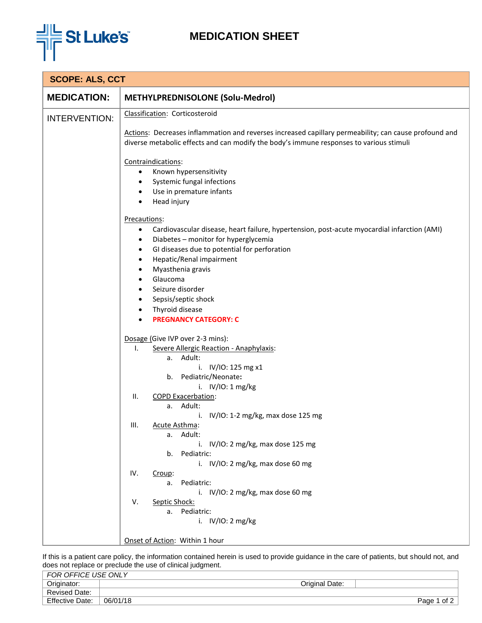

## **MEDICATION SHEET**

| <b>MEDICATION:</b><br><b>METHYLPREDNISOLONE (Solu-Medrol)</b><br>Classification: Corticosteroid<br><b>INTERVENTION:</b><br>diverse metabolic effects and can modify the body's immune responses to various stimuli<br>Contraindications:<br>Known hypersensitivity<br>$\bullet$<br>Systemic fungal infections<br>$\bullet$<br>Use in premature infants<br>$\bullet$<br>Head injury<br>$\bullet$<br>Precautions:<br>Cardiovascular disease, heart failure, hypertension, post-acute myocardial infarction (AMI)<br>٠<br>Diabetes - monitor for hyperglycemia<br>٠<br>GI diseases due to potential for perforation<br>٠<br>Hepatic/Renal impairment<br>٠<br>Myasthenia gravis<br>$\bullet$<br>Glaucoma<br>$\bullet$<br>Seizure disorder<br>$\bullet$<br>Sepsis/septic shock<br>$\bullet$<br>Thyroid disease<br>$\bullet$<br><b>PREGNANCY CATEGORY: C</b><br>$\bullet$ | <b>SCOPE: ALS, CCT</b> |                                                                                                       |  |  |  |  |
|---------------------------------------------------------------------------------------------------------------------------------------------------------------------------------------------------------------------------------------------------------------------------------------------------------------------------------------------------------------------------------------------------------------------------------------------------------------------------------------------------------------------------------------------------------------------------------------------------------------------------------------------------------------------------------------------------------------------------------------------------------------------------------------------------------------------------------------------------------------------|------------------------|-------------------------------------------------------------------------------------------------------|--|--|--|--|
|                                                                                                                                                                                                                                                                                                                                                                                                                                                                                                                                                                                                                                                                                                                                                                                                                                                                     |                        |                                                                                                       |  |  |  |  |
|                                                                                                                                                                                                                                                                                                                                                                                                                                                                                                                                                                                                                                                                                                                                                                                                                                                                     |                        |                                                                                                       |  |  |  |  |
|                                                                                                                                                                                                                                                                                                                                                                                                                                                                                                                                                                                                                                                                                                                                                                                                                                                                     |                        | Actions: Decreases inflammation and reverses increased capillary permeability; can cause profound and |  |  |  |  |
|                                                                                                                                                                                                                                                                                                                                                                                                                                                                                                                                                                                                                                                                                                                                                                                                                                                                     |                        |                                                                                                       |  |  |  |  |
| Dosage (Give IVP over 2-3 mins):<br>Severe Allergic Reaction - Anaphylaxis:<br>Ι.<br>a. Adult:<br>i. $IV/IO: 125 mg x1$<br>b. Pediatric/Neonate:<br>i. $IV/IO: 1 mg/kg$<br>Ш.<br><b>COPD Exacerbation:</b><br>a. Adult:<br>i. IV/IO: 1-2 mg/kg, max dose 125 mg<br>III.<br>Acute Asthma:<br>a. Adult:<br>IV/IO: 2 mg/kg, max dose 125 mg<br>i.<br>Pediatric:<br>b.<br>i. IV/IO: 2 mg/kg, max dose 60 mg<br>IV.<br>Croup:<br>Pediatric:<br>а.<br>i. IV/IO: 2 mg/kg, max dose 60 mg<br>V.<br>Septic Shock:<br>a. Pediatric:<br>i. $IV/IO: 2 mg/kg$                                                                                                                                                                                                                                                                                                                    |                        |                                                                                                       |  |  |  |  |
| Onset of Action: Within 1 hour                                                                                                                                                                                                                                                                                                                                                                                                                                                                                                                                                                                                                                                                                                                                                                                                                                      |                        |                                                                                                       |  |  |  |  |

If this is a patient care policy, the information contained herein is used to provide guidance in the care of patients, but should not, and does not replace or preclude the use of clinical judgment.

| FOR OFFICE USE ONLY    |          |                |              |
|------------------------|----------|----------------|--------------|
| Originator:            |          | Original Date: |              |
| <b>Revised Date:</b>   |          |                |              |
| <b>Effective Date:</b> | 06/01/18 |                | of 2<br>Page |
|                        |          |                |              |